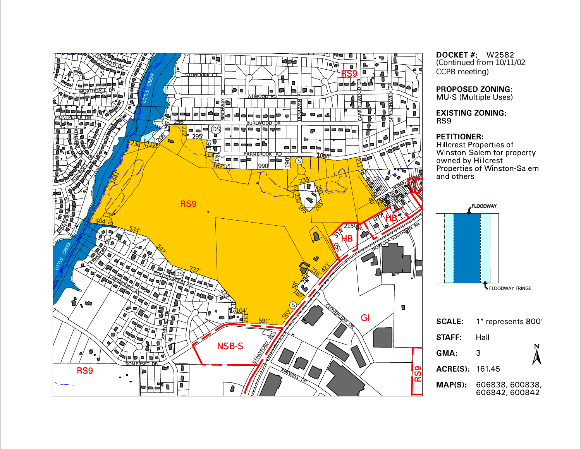

**DOCKET # W2582** (Continued from 10/11/02 CCPB meeting)

**PROPOSED ZONING:** MU-S (Multiple Uses)

**EXISTING ZONING:** 

### **PETITIONER:**

**Hillcrest Properties of<br>Winston-Salem for property<br>owned by Hillcrest<br>Properties of Winston-Salem** and others

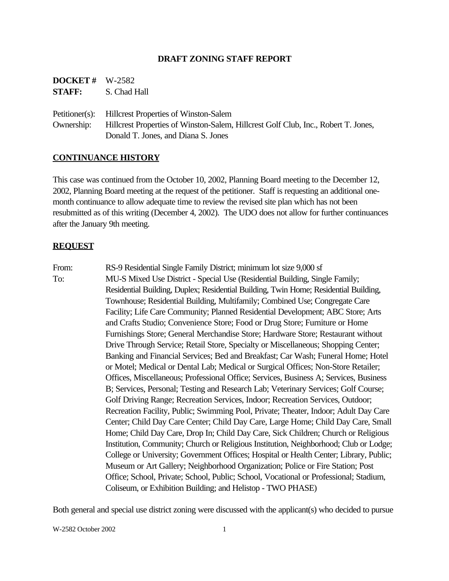## **DRAFT ZONING STAFF REPORT**

| <b>DOCKET#</b> | W-2582       |
|----------------|--------------|
| <b>STAFF:</b>  | S. Chad Hall |

Petitioner(s): Hillcrest Properties of Winston-Salem Ownership: Hillcrest Properties of Winston-Salem, Hillcrest Golf Club, Inc., Robert T. Jones, Donald T. Jones, and Diana S. Jones

### **CONTINUANCE HISTORY**

This case was continued from the October 10, 2002, Planning Board meeting to the December 12, 2002, Planning Board meeting at the request of the petitioner. Staff is requesting an additional onemonth continuance to allow adequate time to review the revised site plan which has not been resubmitted as of this writing (December 4, 2002). The UDO does not allow for further continuances after the January 9th meeting.

#### **REQUEST**

From: RS-9 Residential Single Family District; minimum lot size 9,000 sf To: MU-S Mixed Use District - Special Use (Residential Building, Single Family; Residential Building, Duplex; Residential Building, Twin Home; Residential Building, Townhouse; Residential Building, Multifamily; Combined Use; Congregate Care Facility; Life Care Community; Planned Residential Development; ABC Store; Arts and Crafts Studio; Convenience Store; Food or Drug Store; Furniture or Home Furnishings Store; General Merchandise Store; Hardware Store; Restaurant without Drive Through Service; Retail Store, Specialty or Miscellaneous; Shopping Center; Banking and Financial Services; Bed and Breakfast; Car Wash; Funeral Home; Hotel or Motel; Medical or Dental Lab; Medical or Surgical Offices; Non-Store Retailer; Offices, Miscellaneous; Professional Office; Services, Business A; Services, Business B; Services, Personal; Testing and Research Lab; Veterinary Services; Golf Course; Golf Driving Range; Recreation Services, Indoor; Recreation Services, Outdoor; Recreation Facility, Public; Swimming Pool, Private; Theater, Indoor; Adult Day Care Center; Child Day Care Center; Child Day Care, Large Home; Child Day Care, Small Home; Child Day Care, Drop In; Child Day Care, Sick Children; Church or Religious Institution, Community; Church or Religious Institution, Neighborhood; Club or Lodge; College or University; Government Offices; Hospital or Health Center; Library, Public; Museum or Art Gallery; Neighborhood Organization; Police or Fire Station; Post Office; School, Private; School, Public; School, Vocational or Professional; Stadium, Coliseum, or Exhibition Building; and Helistop - TWO PHASE)

Both general and special use district zoning were discussed with the applicant(s) who decided to pursue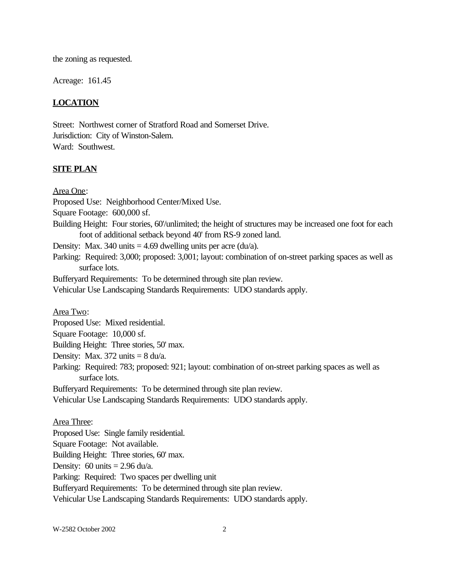the zoning as requested.

Acreage: 161.45

## **LOCATION**

Street: Northwest corner of Stratford Road and Somerset Drive. Jurisdiction: City of Winston-Salem. Ward: Southwest.

### **SITE PLAN**

Area One:

Proposed Use: Neighborhood Center/Mixed Use.

Square Footage: 600,000 sf.

Building Height: Four stories, 60'/unlimited; the height of structures may be increased one foot for each foot of additional setback beyond 40' from RS-9 zoned land.

Density: Max. 340 units  $= 4.69$  dwelling units per acre (du/a).

Parking: Required: 3,000; proposed: 3,001; layout: combination of on-street parking spaces as well as surface lots.

Bufferyard Requirements: To be determined through site plan review.

Vehicular Use Landscaping Standards Requirements: UDO standards apply.

Area Two:

Proposed Use: Mixed residential.

Square Footage: 10,000 sf.

Building Height: Three stories, 50' max.

Density: Max.  $372 \text{ units} = 8 \text{ du/a}.$ 

Parking: Required: 783; proposed: 921; layout: combination of on-street parking spaces as well as surface lots.

Bufferyard Requirements: To be determined through site plan review.

Vehicular Use Landscaping Standards Requirements: UDO standards apply.

#### Area Three:

Proposed Use: Single family residential. Square Footage: Not available. Building Height: Three stories, 60' max. Density:  $60 \text{ units} = 2.96 \text{ du/a}.$ Parking: Required: Two spaces per dwelling unit Bufferyard Requirements: To be determined through site plan review. Vehicular Use Landscaping Standards Requirements: UDO standards apply.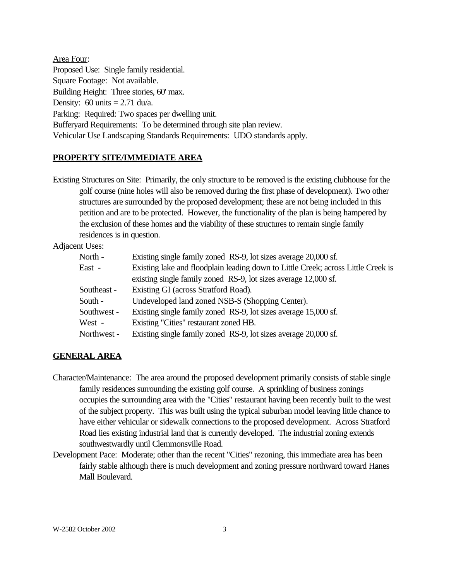Area Four: Proposed Use: Single family residential. Square Footage: Not available. Building Height: Three stories, 60' max. Density:  $60 \text{ units} = 2.71 \text{ du/a}.$ Parking: Required: Two spaces per dwelling unit. Bufferyard Requirements: To be determined through site plan review. Vehicular Use Landscaping Standards Requirements: UDO standards apply.

## **PROPERTY SITE/IMMEDIATE AREA**

Existing Structures on Site: Primarily, the only structure to be removed is the existing clubhouse for the golf course (nine holes will also be removed during the first phase of development). Two other structures are surrounded by the proposed development; these are not being included in this petition and are to be protected. However, the functionality of the plan is being hampered by the exclusion of these homes and the viability of these structures to remain single family residences is in question.

Adjacent Uses:

| North -     | Existing single family zoned RS-9, lot sizes average 20,000 sf.                   |  |
|-------------|-----------------------------------------------------------------------------------|--|
| East -      | Existing lake and floodplain leading down to Little Creek; across Little Creek is |  |
|             | existing single family zoned RS-9, lot sizes average 12,000 sf.                   |  |
| Southeast - | Existing GI (across Stratford Road).                                              |  |
| South -     | Undeveloped land zoned NSB-S (Shopping Center).                                   |  |
| Southwest - | Existing single family zoned RS-9, lot sizes average 15,000 sf.                   |  |
| West -      | Existing "Cities" restaurant zoned HB.                                            |  |
| Northwest - | Existing single family zoned RS-9, lot sizes average 20,000 sf.                   |  |

# **GENERAL AREA**

- Character/Maintenance: The area around the proposed development primarily consists of stable single family residences surrounding the existing golf course. A sprinkling of business zonings occupies the surrounding area with the "Cities" restaurant having been recently built to the west of the subject property. This was built using the typical suburban model leaving little chance to have either vehicular or sidewalk connections to the proposed development. Across Stratford Road lies existing industrial land that is currently developed. The industrial zoning extends southwestwardly until Clemmonsville Road.
- Development Pace: Moderate; other than the recent "Cities" rezoning, this immediate area has been fairly stable although there is much development and zoning pressure northward toward Hanes Mall Boulevard.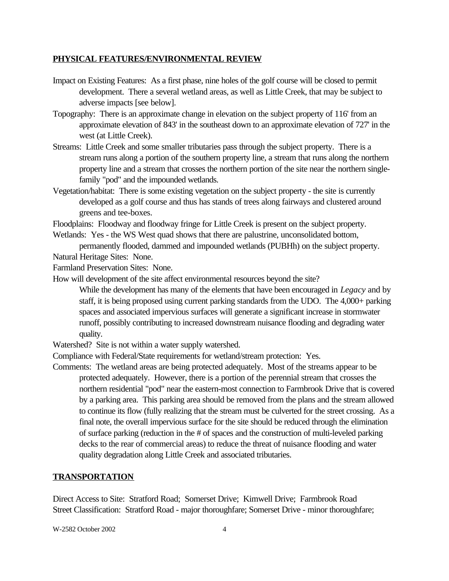## **PHYSICAL FEATURES/ENVIRONMENTAL REVIEW**

- Impact on Existing Features: As a first phase, nine holes of the golf course will be closed to permit development. There a several wetland areas, as well as Little Creek, that may be subject to adverse impacts [see below].
- Topography: There is an approximate change in elevation on the subject property of 116' from an approximate elevation of 843' in the southeast down to an approximate elevation of 727' in the west (at Little Creek).
- Streams: Little Creek and some smaller tributaries pass through the subject property. There is a stream runs along a portion of the southern property line, a stream that runs along the northern property line and a stream that crosses the northern portion of the site near the northern singlefamily "pod" and the impounded wetlands.
- Vegetation/habitat: There is some existing vegetation on the subject property the site is currently developed as a golf course and thus has stands of trees along fairways and clustered around greens and tee-boxes.

Floodplains: Floodway and floodway fringe for Little Creek is present on the subject property.

Wetlands: Yes - the WS West quad shows that there are palustrine, unconsolidated bottom,

permanently flooded, dammed and impounded wetlands (PUBHh) on the subject property. Natural Heritage Sites: None.

Farmland Preservation Sites: None.

How will development of the site affect environmental resources beyond the site?

While the development has many of the elements that have been encouraged in *Legacy* and by staff, it is being proposed using current parking standards from the UDO. The 4,000+ parking spaces and associated impervious surfaces will generate a significant increase in stormwater runoff, possibly contributing to increased downstream nuisance flooding and degrading water quality.

Watershed? Site is not within a water supply watershed.

Compliance with Federal/State requirements for wetland/stream protection: Yes.

Comments: The wetland areas are being protected adequately. Most of the streams appear to be protected adequately. However, there is a portion of the perennial stream that crosses the northern residential "pod" near the eastern-most connection to Farmbrook Drive that is covered by a parking area. This parking area should be removed from the plans and the stream allowed to continue its flow (fully realizing that the stream must be culverted for the street crossing. As a final note, the overall impervious surface for the site should be reduced through the elimination of surface parking (reduction in the # of spaces and the construction of multi-leveled parking decks to the rear of commercial areas) to reduce the threat of nuisance flooding and water quality degradation along Little Creek and associated tributaries.

# **TRANSPORTATION**

Direct Access to Site: Stratford Road; Somerset Drive; Kimwell Drive; Farmbrook Road Street Classification: Stratford Road - major thoroughfare; Somerset Drive - minor thoroughfare;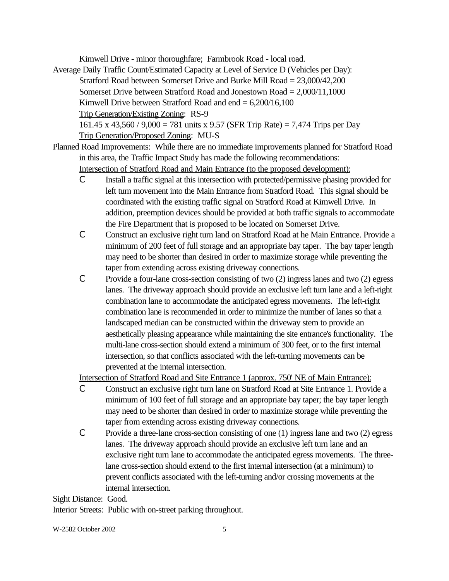Kimwell Drive - minor thoroughfare; Farmbrook Road - local road.

- Average Daily Traffic Count/Estimated Capacity at Level of Service D (Vehicles per Day): Stratford Road between Somerset Drive and Burke Mill Road = 23,000/42,200 Somerset Drive between Stratford Road and Jonestown Road = 2,000/11,1000 Kimwell Drive between Stratford Road and end  $= 6,200/16,100$ Trip Generation/Existing Zoning: RS-9 161.45 x 43,560 / 9,000 = 781 units x 9.57 (SFR Trip Rate) = 7,474 Trips per Day Trip Generation/Proposed Zoning: MU-S
- Planned Road Improvements: While there are no immediate improvements planned for Stratford Road in this area, the Traffic Impact Study has made the following recommendations: Intersection of Stratford Road and Main Entrance (to the proposed development):
	- C Install a traffic signal at this intersection with protected/permissive phasing provided for left turn movement into the Main Entrance from Stratford Road. This signal should be coordinated with the existing traffic signal on Stratford Road at Kimwell Drive. In addition, preemption devices should be provided at both traffic signals to accommodate the Fire Department that is proposed to be located on Somerset Drive.
	- C Construct an exclusive right turn land on Stratford Road at he Main Entrance. Provide a minimum of 200 feet of full storage and an appropriate bay taper. The bay taper length may need to be shorter than desired in order to maximize storage while preventing the taper from extending across existing driveway connections.
	- C Provide a four-lane cross-section consisting of two (2) ingress lanes and two (2) egress lanes. The driveway approach should provide an exclusive left turn lane and a left-right combination lane to accommodate the anticipated egress movements. The left-right combination lane is recommended in order to minimize the number of lanes so that a landscaped median can be constructed within the driveway stem to provide an aesthetically pleasing appearance while maintaining the site entrance's functionality. The multi-lane cross-section should extend a minimum of 300 feet, or to the first internal intersection, so that conflicts associated with the left-turning movements can be prevented at the internal intersection.

Intersection of Stratford Road and Site Entrance 1 (approx. 750' NE of Main Entrance):

- C Construct an exclusive right turn lane on Stratford Road at Site Entrance 1. Provide a minimum of 100 feet of full storage and an appropriate bay taper; the bay taper length may need to be shorter than desired in order to maximize storage while preventing the taper from extending across existing driveway connections.
- C Provide a three-lane cross-section consisting of one (1) ingress lane and two (2) egress lanes. The driveway approach should provide an exclusive left turn lane and an exclusive right turn lane to accommodate the anticipated egress movements. The threelane cross-section should extend to the first internal intersection (at a minimum) to prevent conflicts associated with the left-turning and/or crossing movements at the internal intersection.

Sight Distance: Good.

Interior Streets: Public with on-street parking throughout.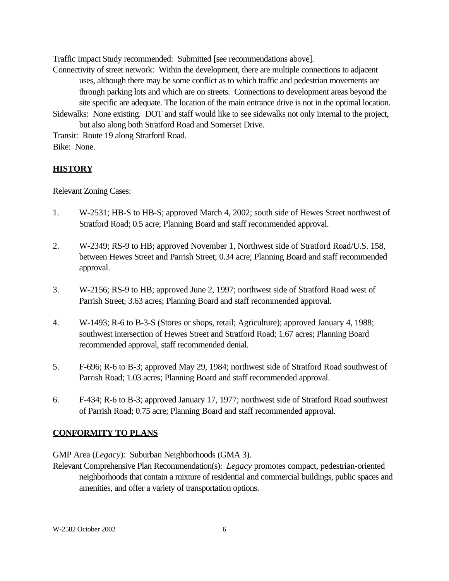Traffic Impact Study recommended: Submitted [see recommendations above].

Connectivity of street network: Within the development, there are multiple connections to adjacent uses, although there may be some conflict as to which traffic and pedestrian movements are through parking lots and which are on streets. Connections to development areas beyond the site specific are adequate. The location of the main entrance drive is not in the optimal location. Sidewalks: None existing. DOT and staff would like to see sidewalks not only internal to the project,

but also along both Stratford Road and Somerset Drive.

Transit: Route 19 along Stratford Road. Bike: None.

# **HISTORY**

Relevant Zoning Cases:

- 1. W-2531; HB-S to HB-S; approved March 4, 2002; south side of Hewes Street northwest of Stratford Road; 0.5 acre; Planning Board and staff recommended approval.
- 2. W-2349; RS-9 to HB; approved November 1, Northwest side of Stratford Road/U.S. 158, between Hewes Street and Parrish Street; 0.34 acre; Planning Board and staff recommended approval.
- 3. W-2156; RS-9 to HB; approved June 2, 1997; northwest side of Stratford Road west of Parrish Street; 3.63 acres; Planning Board and staff recommended approval.
- 4. W-1493; R-6 to B-3-S (Stores or shops, retail; Agriculture); approved January 4, 1988; southwest intersection of Hewes Street and Stratford Road; 1.67 acres; Planning Board recommended approval, staff recommended denial.
- 5. F-696; R-6 to B-3; approved May 29, 1984; northwest side of Stratford Road southwest of Parrish Road; 1.03 acres; Planning Board and staff recommended approval.
- 6. F-434; R-6 to B-3; approved January 17, 1977; northwest side of Stratford Road southwest of Parrish Road; 0.75 acre; Planning Board and staff recommended approval.

# **CONFORMITY TO PLANS**

GMP Area (*Legacy*): Suburban Neighborhoods (GMA 3).

Relevant Comprehensive Plan Recommendation(s): *Legacy* promotes compact, pedestrian-oriented neighborhoods that contain a mixture of residential and commercial buildings, public spaces and amenities, and offer a variety of transportation options.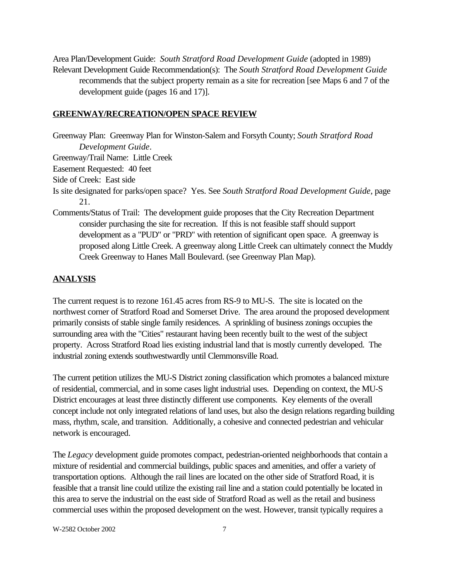Area Plan/Development Guide: *South Stratford Road Development Guide* (adopted in 1989) Relevant Development Guide Recommendation(s): The *South Stratford Road Development Guide* recommends that the subject property remain as a site for recreation [see Maps 6 and 7 of the development guide (pages 16 and 17)].

### **GREENWAY/RECREATION/OPEN SPACE REVIEW**

Greenway Plan: Greenway Plan for Winston-Salem and Forsyth County; *South Stratford Road Development Guide*. Greenway/Trail Name: Little Creek Easement Requested: 40 feet

Side of Creek: East side

- Is site designated for parks/open space? Yes. See *South Stratford Road Development Guide*, page 21.
- Comments/Status of Trail: The development guide proposes that the City Recreation Department consider purchasing the site for recreation. If this is not feasible staff should support development as a "PUD" or "PRD" with retention of significant open space. A greenway is proposed along Little Creek. A greenway along Little Creek can ultimately connect the Muddy Creek Greenway to Hanes Mall Boulevard. (see Greenway Plan Map).

### **ANALYSIS**

The current request is to rezone 161.45 acres from RS-9 to MU-S. The site is located on the northwest corner of Stratford Road and Somerset Drive. The area around the proposed development primarily consists of stable single family residences. A sprinkling of business zonings occupies the surrounding area with the "Cities" restaurant having been recently built to the west of the subject property. Across Stratford Road lies existing industrial land that is mostly currently developed. The industrial zoning extends southwestwardly until Clemmonsville Road.

The current petition utilizes the MU-S District zoning classification which promotes a balanced mixture of residential, commercial, and in some cases light industrial uses. Depending on context, the MU-S District encourages at least three distinctly different use components. Key elements of the overall concept include not only integrated relations of land uses, but also the design relations regarding building mass, rhythm, scale, and transition. Additionally, a cohesive and connected pedestrian and vehicular network is encouraged.

The *Legacy* development guide promotes compact, pedestrian-oriented neighborhoods that contain a mixture of residential and commercial buildings, public spaces and amenities, and offer a variety of transportation options. Although the rail lines are located on the other side of Stratford Road, it is feasible that a transit line could utilize the existing rail line and a station could potentially be located in this area to serve the industrial on the east side of Stratford Road as well as the retail and business commercial uses within the proposed development on the west. However, transit typically requires a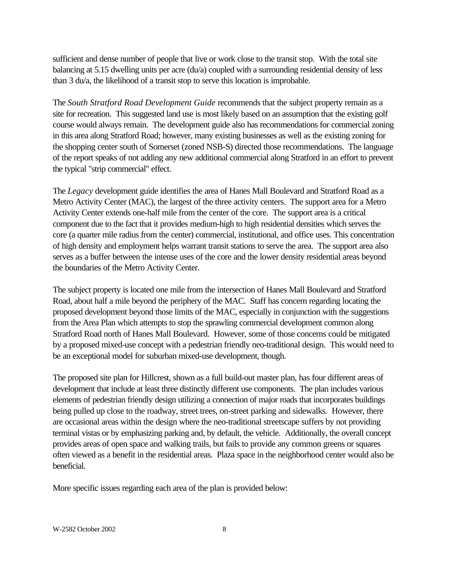sufficient and dense number of people that live or work close to the transit stop. With the total site balancing at 5.15 dwelling units per acre (du/a) coupled with a surrounding residential density of less than 3 du/a, the likelihood of a transit stop to serve this location is improbable.

The *South Stratford Road Development Guide* recommends that the subject property remain as a site for recreation. This suggested land use is most likely based on an assumption that the existing golf course would always remain. The development guide also has recommendations for commercial zoning in this area along Stratford Road; however, many existing businesses as well as the existing zoning for the shopping center south of Somerset (zoned NSB-S) directed those recommendations. The language of the report speaks of not adding any new additional commercial along Stratford in an effort to prevent the typical "strip commercial" effect.

The *Legacy* development guide identifies the area of Hanes Mall Boulevard and Stratford Road as a Metro Activity Center (MAC), the largest of the three activity centers. The support area for a Metro Activity Center extends one-half mile from the center of the core. The support area is a critical component due to the fact that it provides medium-high to high residential densities which serves the core (a quarter mile radius from the center) commercial, institutional, and office uses. This concentration of high density and employment helps warrant transit stations to serve the area. The support area also serves as a buffer between the intense uses of the core and the lower density residential areas beyond the boundaries of the Metro Activity Center.

The subject property is located one mile from the intersection of Hanes Mall Boulevard and Stratford Road, about half a mile beyond the periphery of the MAC. Staff has concern regarding locating the proposed development beyond those limits of the MAC, especially in conjunction with the suggestions from the Area Plan which attempts to stop the sprawling commercial development common along Stratford Road north of Hanes Mall Boulevard. However, some of those concerns could be mitigated by a proposed mixed-use concept with a pedestrian friendly neo-traditional design. This would need to be an exceptional model for suburban mixed-use development, though.

The proposed site plan for Hillcrest, shown as a full build-out master plan, has four different areas of development that include at least three distinctly different use components. The plan includes various elements of pedestrian friendly design utilizing a connection of major roads that incorporates buildings being pulled up close to the roadway, street trees, on-street parking and sidewalks. However, there are occasional areas within the design where the neo-traditional streetscape suffers by not providing terminal vistas or by emphasizing parking and, by default, the vehicle. Additionally, the overall concept provides areas of open space and walking trails, but fails to provide any common greens or squares often viewed as a benefit in the residential areas. Plaza space in the neighborhood center would also be beneficial.

More specific issues regarding each area of the plan is provided below: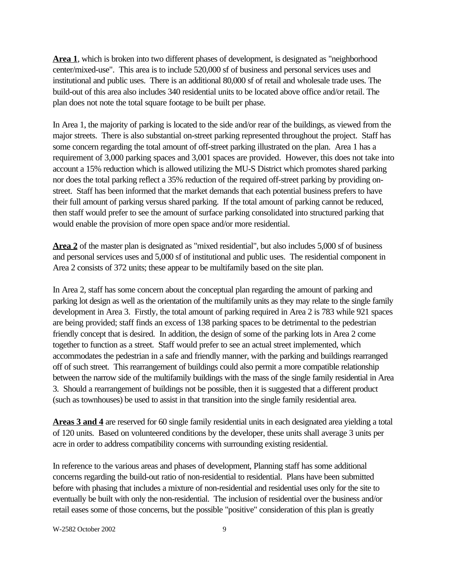**Area 1**, which is broken into two different phases of development, is designated as "neighborhood center/mixed-use". This area is to include 520,000 sf of business and personal services uses and institutional and public uses. There is an additional 80,000 sf of retail and wholesale trade uses. The build-out of this area also includes 340 residential units to be located above office and/or retail. The plan does not note the total square footage to be built per phase.

In Area 1, the majority of parking is located to the side and/or rear of the buildings, as viewed from the major streets. There is also substantial on-street parking represented throughout the project. Staff has some concern regarding the total amount of off-street parking illustrated on the plan. Area 1 has a requirement of 3,000 parking spaces and 3,001 spaces are provided. However, this does not take into account a 15% reduction which is allowed utilizing the MU-S District which promotes shared parking nor does the total parking reflect a 35% reduction of the required off-street parking by providing onstreet. Staff has been informed that the market demands that each potential business prefers to have their full amount of parking versus shared parking. If the total amount of parking cannot be reduced, then staff would prefer to see the amount of surface parking consolidated into structured parking that would enable the provision of more open space and/or more residential.

**Area 2** of the master plan is designated as "mixed residential", but also includes 5,000 sf of business and personal services uses and 5,000 sf of institutional and public uses. The residential component in Area 2 consists of 372 units; these appear to be multifamily based on the site plan.

In Area 2, staff has some concern about the conceptual plan regarding the amount of parking and parking lot design as well as the orientation of the multifamily units as they may relate to the single family development in Area 3. Firstly, the total amount of parking required in Area 2 is 783 while 921 spaces are being provided; staff finds an excess of 138 parking spaces to be detrimental to the pedestrian friendly concept that is desired. In addition, the design of some of the parking lots in Area 2 come together to function as a street. Staff would prefer to see an actual street implemented, which accommodates the pedestrian in a safe and friendly manner, with the parking and buildings rearranged off of such street. This rearrangement of buildings could also permit a more compatible relationship between the narrow side of the multifamily buildings with the mass of the single family residential in Area 3. Should a rearrangement of buildings not be possible, then it is suggested that a different product (such as townhouses) be used to assist in that transition into the single family residential area.

**Areas 3 and 4** are reserved for 60 single family residential units in each designated area yielding a total of 120 units. Based on volunteered conditions by the developer, these units shall average 3 units per acre in order to address compatibility concerns with surrounding existing residential.

In reference to the various areas and phases of development, Planning staff has some additional concerns regarding the build-out ratio of non-residential to residential. Plans have been submitted before with phasing that includes a mixture of non-residential and residential uses only for the site to eventually be built with only the non-residential. The inclusion of residential over the business and/or retail eases some of those concerns, but the possible "positive" consideration of this plan is greatly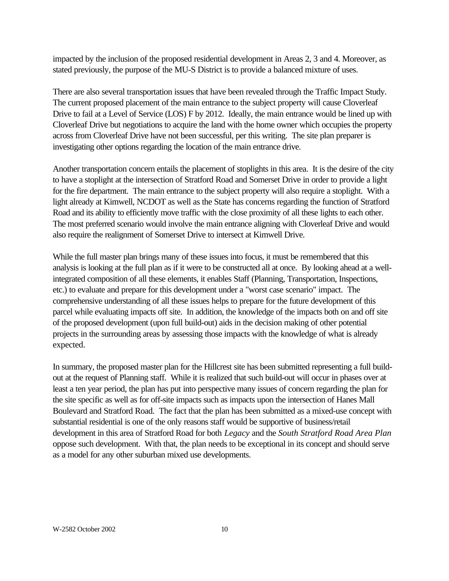impacted by the inclusion of the proposed residential development in Areas 2, 3 and 4. Moreover, as stated previously, the purpose of the MU-S District is to provide a balanced mixture of uses.

There are also several transportation issues that have been revealed through the Traffic Impact Study. The current proposed placement of the main entrance to the subject property will cause Cloverleaf Drive to fail at a Level of Service (LOS) F by 2012. Ideally, the main entrance would be lined up with Cloverleaf Drive but negotiations to acquire the land with the home owner which occupies the property across from Cloverleaf Drive have not been successful, per this writing. The site plan preparer is investigating other options regarding the location of the main entrance drive.

Another transportation concern entails the placement of stoplights in this area. It is the desire of the city to have a stoplight at the intersection of Stratford Road and Somerset Drive in order to provide a light for the fire department. The main entrance to the subject property will also require a stoplight. With a light already at Kimwell, NCDOT as well as the State has concerns regarding the function of Stratford Road and its ability to efficiently move traffic with the close proximity of all these lights to each other. The most preferred scenario would involve the main entrance aligning with Cloverleaf Drive and would also require the realignment of Somerset Drive to intersect at Kimwell Drive.

While the full master plan brings many of these issues into focus, it must be remembered that this analysis is looking at the full plan as if it were to be constructed all at once. By looking ahead at a wellintegrated composition of all these elements, it enables Staff (Planning, Transportation, Inspections, etc.) to evaluate and prepare for this development under a "worst case scenario" impact. The comprehensive understanding of all these issues helps to prepare for the future development of this parcel while evaluating impacts off site. In addition, the knowledge of the impacts both on and off site of the proposed development (upon full build-out) aids in the decision making of other potential projects in the surrounding areas by assessing those impacts with the knowledge of what is already expected.

In summary, the proposed master plan for the Hillcrest site has been submitted representing a full buildout at the request of Planning staff. While it is realized that such build-out will occur in phases over at least a ten year period, the plan has put into perspective many issues of concern regarding the plan for the site specific as well as for off-site impacts such as impacts upon the intersection of Hanes Mall Boulevard and Stratford Road. The fact that the plan has been submitted as a mixed-use concept with substantial residential is one of the only reasons staff would be supportive of business/retail development in this area of Stratford Road for both *Legacy* and the *South Stratford Road Area Plan* oppose such development. With that, the plan needs to be exceptional in its concept and should serve as a model for any other suburban mixed use developments.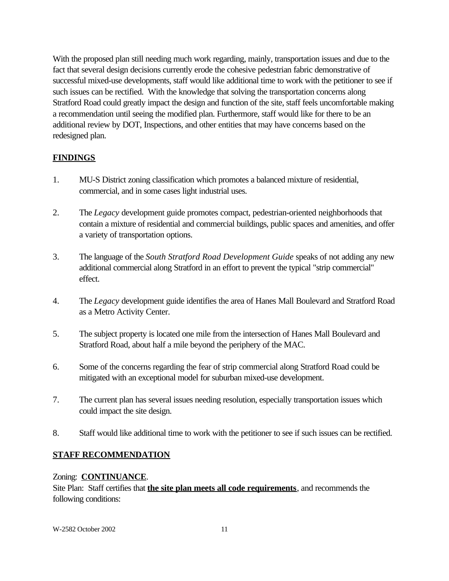With the proposed plan still needing much work regarding, mainly, transportation issues and due to the fact that several design decisions currently erode the cohesive pedestrian fabric demonstrative of successful mixed-use developments, staff would like additional time to work with the petitioner to see if such issues can be rectified. With the knowledge that solving the transportation concerns along Stratford Road could greatly impact the design and function of the site, staff feels uncomfortable making a recommendation until seeing the modified plan. Furthermore, staff would like for there to be an additional review by DOT, Inspections, and other entities that may have concerns based on the redesigned plan.

# **FINDINGS**

- 1. MU-S District zoning classification which promotes a balanced mixture of residential, commercial, and in some cases light industrial uses.
- 2. The *Legacy* development guide promotes compact, pedestrian-oriented neighborhoods that contain a mixture of residential and commercial buildings, public spaces and amenities, and offer a variety of transportation options.
- 3. The language of the *South Stratford Road Development Guide* speaks of not adding any new additional commercial along Stratford in an effort to prevent the typical "strip commercial" effect.
- 4. The *Legacy* development guide identifies the area of Hanes Mall Boulevard and Stratford Road as a Metro Activity Center.
- 5. The subject property is located one mile from the intersection of Hanes Mall Boulevard and Stratford Road, about half a mile beyond the periphery of the MAC.
- 6. Some of the concerns regarding the fear of strip commercial along Stratford Road could be mitigated with an exceptional model for suburban mixed-use development.
- 7. The current plan has several issues needing resolution, especially transportation issues which could impact the site design.
- 8. Staff would like additional time to work with the petitioner to see if such issues can be rectified.

# **STAFF RECOMMENDATION**

# Zoning: **CONTINUANCE**.

Site Plan: Staff certifies that **the site plan meets all code requirements**, and recommends the following conditions: